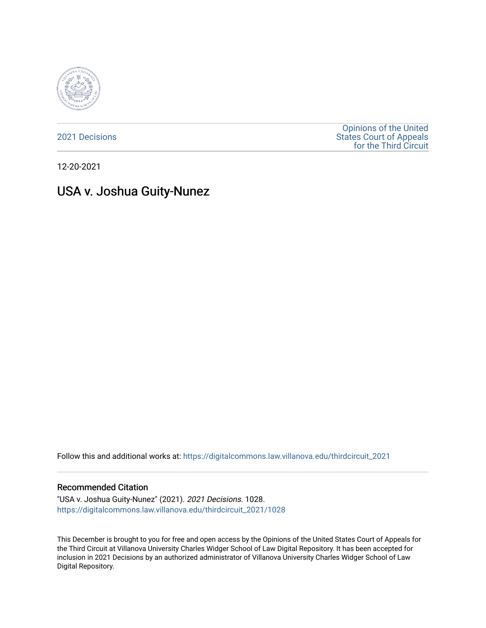

[2021 Decisions](https://digitalcommons.law.villanova.edu/thirdcircuit_2021)

[Opinions of the United](https://digitalcommons.law.villanova.edu/thirdcircuit)  [States Court of Appeals](https://digitalcommons.law.villanova.edu/thirdcircuit)  [for the Third Circuit](https://digitalcommons.law.villanova.edu/thirdcircuit) 

12-20-2021

# USA v. Joshua Guity-Nunez

Follow this and additional works at: [https://digitalcommons.law.villanova.edu/thirdcircuit\\_2021](https://digitalcommons.law.villanova.edu/thirdcircuit_2021?utm_source=digitalcommons.law.villanova.edu%2Fthirdcircuit_2021%2F1028&utm_medium=PDF&utm_campaign=PDFCoverPages) 

#### Recommended Citation

"USA v. Joshua Guity-Nunez" (2021). 2021 Decisions. 1028. [https://digitalcommons.law.villanova.edu/thirdcircuit\\_2021/1028](https://digitalcommons.law.villanova.edu/thirdcircuit_2021/1028?utm_source=digitalcommons.law.villanova.edu%2Fthirdcircuit_2021%2F1028&utm_medium=PDF&utm_campaign=PDFCoverPages) 

This December is brought to you for free and open access by the Opinions of the United States Court of Appeals for the Third Circuit at Villanova University Charles Widger School of Law Digital Repository. It has been accepted for inclusion in 2021 Decisions by an authorized administrator of Villanova University Charles Widger School of Law Digital Repository.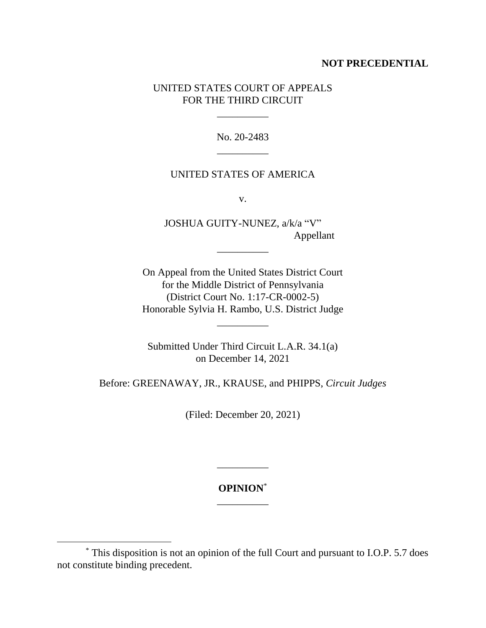## **NOT PRECEDENTIAL**

# UNITED STATES COURT OF APPEALS FOR THE THIRD CIRCUIT

\_\_\_\_\_\_\_\_\_\_

No. 20-2483 \_\_\_\_\_\_\_\_\_\_

#### UNITED STATES OF AMERICA

v.

JOSHUA GUITY-NUNEZ, a/k/a "V" Appellant

\_\_\_\_\_\_\_\_\_\_

On Appeal from the United States District Court for the Middle District of Pennsylvania (District Court No. 1:17-CR-0002-5) Honorable Sylvia H. Rambo, U.S. District Judge

\_\_\_\_\_\_\_\_\_\_

Submitted Under Third Circuit L.A.R. 34.1(a) on December 14, 2021

Before: GREENAWAY, JR., KRAUSE, and PHIPPS, *Circuit Judges*

(Filed: December 20, 2021)

**OPINION**\* \_\_\_\_\_\_\_\_\_\_

\_\_\_\_\_\_\_\_\_\_

<sup>\*</sup> This disposition is not an opinion of the full Court and pursuant to I.O.P. 5.7 does not constitute binding precedent.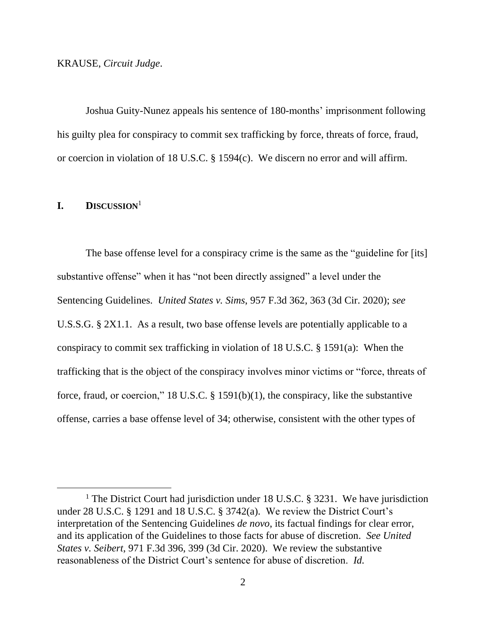Joshua Guity-Nunez appeals his sentence of 180-months' imprisonment following his guilty plea for conspiracy to commit sex trafficking by force, threats of force, fraud, or coercion in violation of 18 U.S.C. § 1594(c). We discern no error and will affirm.

#### **I. DISCUSSION**<sup>1</sup>

The base offense level for a conspiracy crime is the same as the "guideline for [its] substantive offense" when it has "not been directly assigned" a level under the Sentencing Guidelines. *United States v. Sims*, 957 F.3d 362, 363 (3d Cir. 2020); *see*  U.S.S.G. § 2X1.1. As a result, two base offense levels are potentially applicable to a conspiracy to commit sex trafficking in violation of 18 U.S.C. § 1591(a): When the trafficking that is the object of the conspiracy involves minor victims or "force, threats of force, fraud, or coercion," 18 U.S.C. § 1591(b)(1), the conspiracy, like the substantive offense, carries a base offense level of 34; otherwise, consistent with the other types of

<sup>&</sup>lt;sup>1</sup> The District Court had jurisdiction under 18 U.S.C. § 3231. We have jurisdiction under 28 U.S.C. § 1291 and 18 U.S.C. § 3742(a). We review the District Court's interpretation of the Sentencing Guidelines *de novo*, its factual findings for clear error, and its application of the Guidelines to those facts for abuse of discretion. *See United States v. Seibert*, 971 F.3d 396, 399 (3d Cir. 2020). We review the substantive reasonableness of the District Court's sentence for abuse of discretion. *Id.*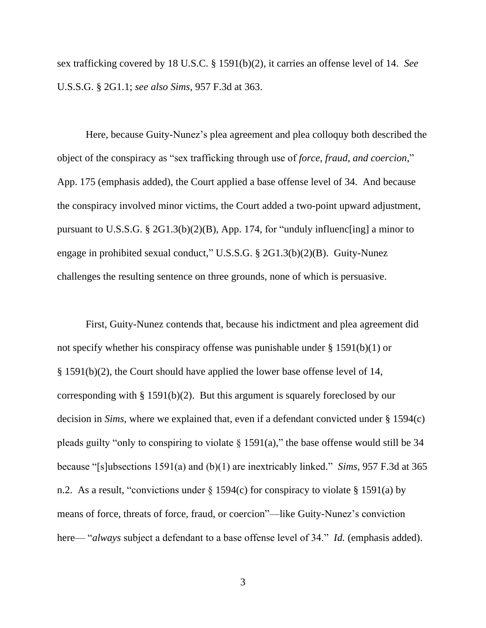sex trafficking covered by 18 U.S.C. § 1591(b)(2), it carries an offense level of 14. *See* U.S.S.G. § 2G1.1; *see also Sims*, 957 F.3d at 363.

Here, because Guity-Nunez's plea agreement and plea colloquy both described the object of the conspiracy as "sex trafficking through use of *force, fraud, and coercion*," App. 175 (emphasis added), the Court applied a base offense level of 34. And because the conspiracy involved minor victims, the Court added a two-point upward adjustment, pursuant to U.S.S.G. § 2G1.3(b)(2)(B), App. 174, for "unduly influenc[ing] a minor to engage in prohibited sexual conduct," U.S.S.G. § 2G1.3(b)(2)(B). Guity-Nunez challenges the resulting sentence on three grounds, none of which is persuasive.

First, Guity-Nunez contends that, because his indictment and plea agreement did not specify whether his conspiracy offense was punishable under § 1591(b)(1) or § 1591(b)(2), the Court should have applied the lower base offense level of 14, corresponding with § 1591(b)(2). But this argument is squarely foreclosed by our decision in *Sims*, where we explained that, even if a defendant convicted under § 1594(c) pleads guilty "only to conspiring to violate  $\S 1591(a)$ ," the base offense would still be 34 because "[s]ubsections 1591(a) and (b)(1) are inextricably linked." *Sims*, 957 F.3d at 365 n.2. As a result, "convictions under  $\S 1594(c)$  for conspiracy to violate  $\S 1591(a)$  by means of force, threats of force, fraud, or coercion"—like Guity-Nunez's conviction here— "*always* subject a defendant to a base offense level of 34." *Id.* (emphasis added).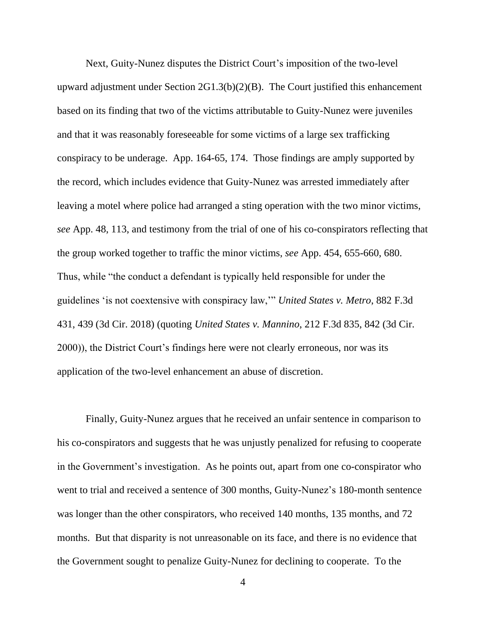Next, Guity-Nunez disputes the District Court's imposition of the two-level upward adjustment under Section 2G1.3(b)(2)(B). The Court justified this enhancement based on its finding that two of the victims attributable to Guity-Nunez were juveniles and that it was reasonably foreseeable for some victims of a large sex trafficking conspiracy to be underage. App. 164-65, 174. Those findings are amply supported by the record, which includes evidence that Guity-Nunez was arrested immediately after leaving a motel where police had arranged a sting operation with the two minor victims, *see* App. 48, 113, and testimony from the trial of one of his co-conspirators reflecting that the group worked together to traffic the minor victims, *see* App. 454, 655-660, 680. Thus, while "the conduct a defendant is typically held responsible for under the guidelines 'is not coextensive with conspiracy law,'" *United States v. Metro*, 882 F.3d 431, 439 (3d Cir. 2018) (quoting *United States v. Mannino*, 212 F.3d 835, 842 (3d Cir. 2000)), the District Court's findings here were not clearly erroneous, nor was its application of the two-level enhancement an abuse of discretion.

Finally, Guity-Nunez argues that he received an unfair sentence in comparison to his co-conspirators and suggests that he was unjustly penalized for refusing to cooperate in the Government's investigation. As he points out, apart from one co-conspirator who went to trial and received a sentence of 300 months, Guity-Nunez's 180-month sentence was longer than the other conspirators, who received 140 months, 135 months, and 72 months. But that disparity is not unreasonable on its face, and there is no evidence that the Government sought to penalize Guity-Nunez for declining to cooperate. To the

4